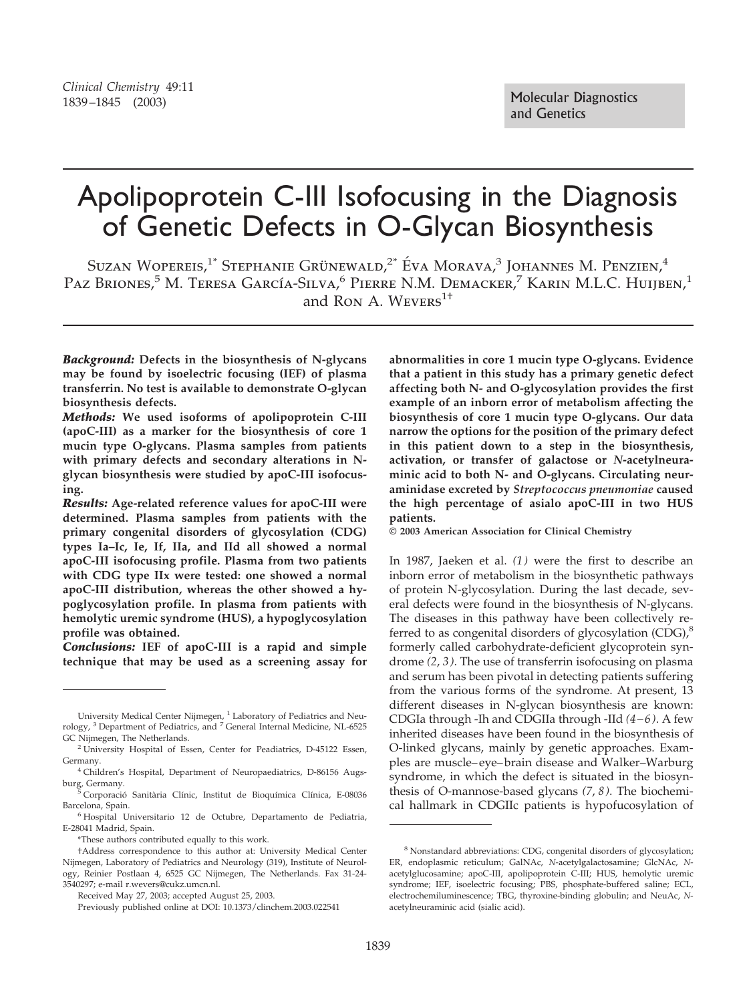# Apolipoprotein C-III Isofocusing in the Diagnosis of Genetic Defects in O-Glycan Biosynthesis

Suzan Wopereis,<sup>1\*</sup> Stephanie Grünewald,<sup>2\*</sup> Éva Morava,<sup>3</sup> Johannes M. Penzien,<sup>4</sup> Paz Briones,<sup>5</sup> M. Teresa García-Silva,<sup>6</sup> Pierre N.M. Demacker,<sup>7</sup> Karin M.L.C. Huijben,<sup>1</sup> and Ron A. WEVERs<sup>1+</sup>

*Background:* **Defects in the biosynthesis of N-glycans may be found by isoelectric focusing (IEF) of plasma transferrin. No test is available to demonstrate O-glycan biosynthesis defects.**

*Methods:* **We used isoforms of apolipoprotein C-III (apoC-III) as a marker for the biosynthesis of core 1 mucin type O-glycans. Plasma samples from patients with primary defects and secondary alterations in Nglycan biosynthesis were studied by apoC-III isofocusing.**

*Results:* **Age-related reference values for apoC-III were determined. Plasma samples from patients with the primary congenital disorders of glycosylation (CDG) types Ia–Ic, Ie, If, IIa, and IId all showed a normal apoC-III isofocusing profile. Plasma from two patients with CDG type IIx were tested: one showed a normal apoC-III distribution, whereas the other showed a hypoglycosylation profile. In plasma from patients with hemolytic uremic syndrome (HUS), a hypoglycosylation profile was obtained.**

*Conclusions:* **IEF of apoC-III is a rapid and simple technique that may be used as a screening assay for** **abnormalities in core 1 mucin type O-glycans. Evidence that a patient in this study has a primary genetic defect affecting both N- and O-glycosylation provides the first example of an inborn error of metabolism affecting the biosynthesis of core 1 mucin type O-glycans. Our data narrow the options for the position of the primary defect in this patient down to a step in the biosynthesis, activation, or transfer of galactose or** *N***-acetylneuraminic acid to both N- and O-glycans. Circulating neuraminidase excreted by** *Streptococcus pneumoniae* **caused the high percentage of asialo apoC-III in two HUS patients.**

**© 2003 American Association for Clinical Chemistry**

In 1987, Jaeken et al. *(1)* were the first to describe an inborn error of metabolism in the biosynthetic pathways of protein N-glycosylation. During the last decade, several defects were found in the biosynthesis of N-glycans. The diseases in this pathway have been collectively referred to as congenital disorders of glycosylation  $(CDG)^8$ formerly called carbohydrate-deficient glycoprotein syndrome *(2*, *3)*. The use of transferrin isofocusing on plasma and serum has been pivotal in detecting patients suffering from the various forms of the syndrome. At present, 13 different diseases in N-glycan biosynthesis are known: CDGIa through -Ih and CDGIIa through -IId *(4–6)*. A few inherited diseases have been found in the biosynthesis of O-linked glycans, mainly by genetic approaches. Examples are muscle–eye–brain disease and Walker–Warburg syndrome, in which the defect is situated in the biosynthesis of O-mannose-based glycans *(7*, *8)*. The biochemical hallmark in CDGIIc patients is hypofucosylation of

University Medical Center Nijmegen, <sup>1</sup> Laboratory of Pediatrics and Neurology, <sup>3</sup> Department of Pediatrics, and <sup>7</sup> General Internal Medicine, NL-6525 GC Nijmegen, The Netherlands.

<sup>2</sup> University Hospital of Essen, Center for Peadiatrics, D-45122 Essen, Germany.

<sup>4</sup> Children's Hospital, Department of Neuropaediatrics, D-86156 Augs-

burg, Germany.<br><sup>5</sup> Corporació Sanitària Clínic, Institut de Bioquímica Clínica, E-08036 Barcelona, Spain.

<sup>6</sup> Hospital Universitario 12 de Octubre, Departamento de Pediatria, E-28041 Madrid, Spain.

<sup>\*</sup>These authors contributed equally to this work.

<sup>†</sup>Address correspondence to this author at: University Medical Center Nijmegen, Laboratory of Pediatrics and Neurology (319), Institute of Neurology, Reinier Postlaan 4, 6525 GC Nijmegen, The Netherlands. Fax 31-24- 3540297; e-mail r.wevers@cukz.umcn.nl.

Received May 27, 2003; accepted August 25, 2003.

Previously published online at DOI: 10.1373/clinchem.2003.022541

<sup>8</sup> Nonstandard abbreviations: CDG, congenital disorders of glycosylation; ER, endoplasmic reticulum; GalNAc, *N*-acetylgalactosamine; GlcNAc, *N*acetylglucosamine; apoC-III, apolipoprotein C-III; HUS, hemolytic uremic syndrome; IEF, isoelectric focusing; PBS, phosphate-buffered saline; ECL, electrochemiluminescence; TBG, thyroxine-binding globulin; and NeuAc, *N*acetylneuraminic acid (sialic acid).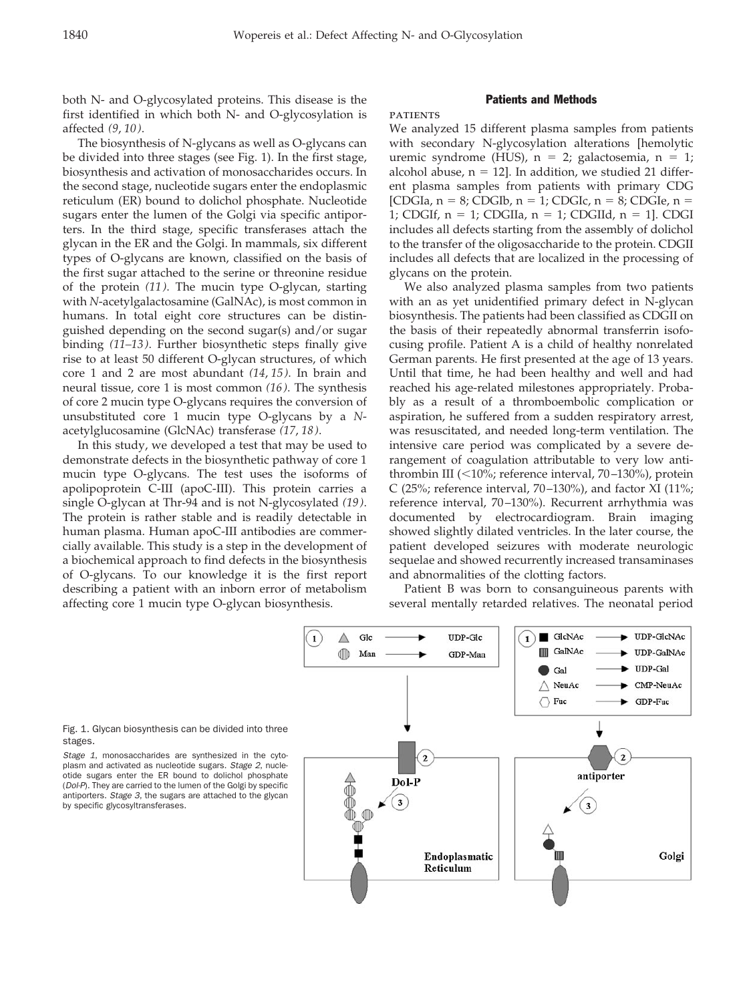both N- and O-glycosylated proteins. This disease is the first identified in which both N- and O-glycosylation is affected *(9*, *10)*.

The biosynthesis of N-glycans as well as O-glycans can be divided into three stages (see Fig. 1). In the first stage, biosynthesis and activation of monosaccharides occurs. In the second stage, nucleotide sugars enter the endoplasmic reticulum (ER) bound to dolichol phosphate. Nucleotide sugars enter the lumen of the Golgi via specific antiporters. In the third stage, specific transferases attach the glycan in the ER and the Golgi. In mammals, six different types of O-glycans are known, classified on the basis of the first sugar attached to the serine or threonine residue of the protein *(11)*. The mucin type O-glycan, starting with *N*-acetylgalactosamine (GalNAc), is most common in humans. In total eight core structures can be distinguished depending on the second sugar(s) and/or sugar binding *(11–13)*. Further biosynthetic steps finally give rise to at least 50 different O-glycan structures, of which core 1 and 2 are most abundant *(14*, *15)*. In brain and neural tissue, core 1 is most common *(16)*. The synthesis of core 2 mucin type O-glycans requires the conversion of unsubstituted core 1 mucin type O-glycans by a *N*acetylglucosamine (GlcNAc) transferase *(17*, *18)*.

In this study, we developed a test that may be used to demonstrate defects in the biosynthetic pathway of core 1 mucin type O-glycans. The test uses the isoforms of apolipoprotein C-III (apoC-III). This protein carries a single O-glycan at Thr-94 and is not N-glycosylated *(19)*. The protein is rather stable and is readily detectable in human plasma. Human apoC-III antibodies are commercially available. This study is a step in the development of a biochemical approach to find defects in the biosynthesis of O-glycans. To our knowledge it is the first report describing a patient with an inborn error of metabolism affecting core 1 mucin type O-glycan biosynthesis.

## Patients and Methods

## **PATIENTS**

We analyzed 15 different plasma samples from patients with secondary N-glycosylation alterations [hemolytic uremic syndrome (HUS),  $n = 2$ ; galactosemia,  $n = 1$ ; alcohol abuse,  $n = 12$ ]. In addition, we studied 21 different plasma samples from patients with primary CDG [CDGIa,  $n = 8$ ; CDGIb,  $n = 1$ ; CDGIc,  $n = 8$ ; CDGIe,  $n =$ 1; CDGIf,  $n = 1$ ; CDGIIa,  $n = 1$ ; CDGIId,  $n = 1$ ]. CDGI includes all defects starting from the assembly of dolichol to the transfer of the oligosaccharide to the protein. CDGII includes all defects that are localized in the processing of glycans on the protein.

We also analyzed plasma samples from two patients with an as yet unidentified primary defect in N-glycan biosynthesis. The patients had been classified as CDGII on the basis of their repeatedly abnormal transferrin isofocusing profile. Patient A is a child of healthy nonrelated German parents. He first presented at the age of 13 years. Until that time, he had been healthy and well and had reached his age-related milestones appropriately. Probably as a result of a thromboembolic complication or aspiration, he suffered from a sudden respiratory arrest, was resuscitated, and needed long-term ventilation. The intensive care period was complicated by a severe derangement of coagulation attributable to very low antithrombin III (<10%; reference interval, 70–130%), protein C (25%; reference interval, 70-130%), and factor XI (11%; reference interval, 70–130%). Recurrent arrhythmia was documented by electrocardiogram. Brain imaging showed slightly dilated ventricles. In the later course, the patient developed seizures with moderate neurologic sequelae and showed recurrently increased transaminases and abnormalities of the clotting factors.

Patient B was born to consanguineous parents with several mentally retarded relatives. The neonatal period



Fig. 1. Glycan biosynthesis can be divided into three stages.

*Stage 1*, monosaccharides are synthesized in the cytoplasm and activated as nucleotide sugars. *Stage 2*, nucleotide sugars enter the ER bound to dolichol phosphate (*Dol-P*). They are carried to the lumen of the Golgi by specific antiporters. *Stage 3*, the sugars are attached to the glycan by specific glycosyltransferases.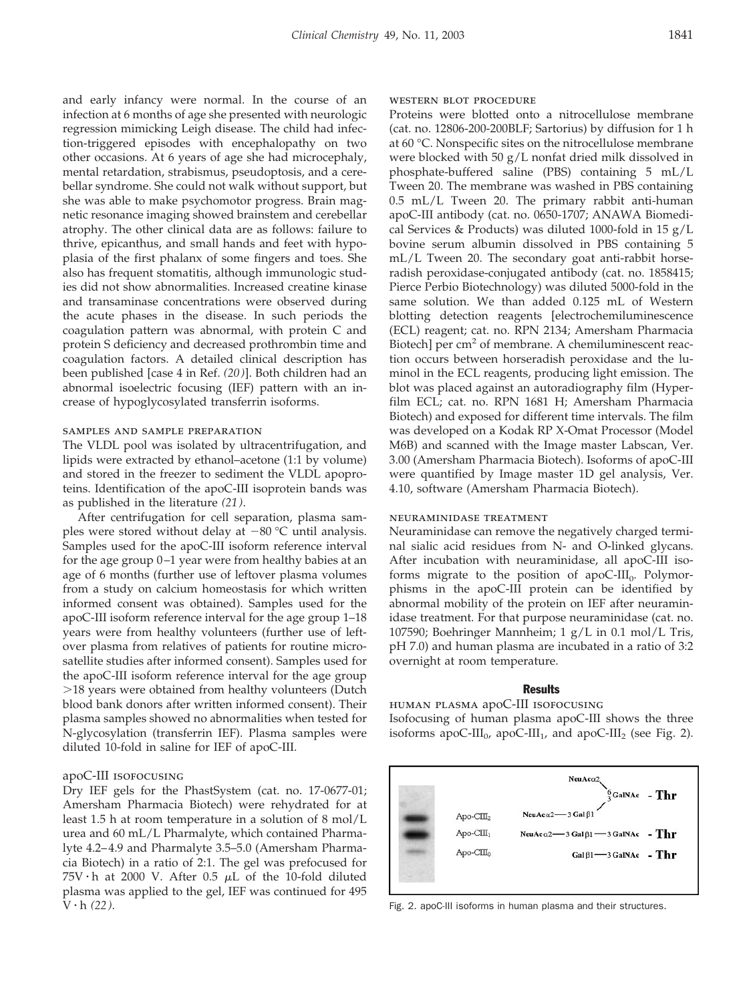and early infancy were normal. In the course of an infection at 6 months of age she presented with neurologic regression mimicking Leigh disease. The child had infection-triggered episodes with encephalopathy on two other occasions. At 6 years of age she had microcephaly, mental retardation, strabismus, pseudoptosis, and a cerebellar syndrome. She could not walk without support, but she was able to make psychomotor progress. Brain magnetic resonance imaging showed brainstem and cerebellar atrophy. The other clinical data are as follows: failure to thrive, epicanthus, and small hands and feet with hypoplasia of the first phalanx of some fingers and toes. She also has frequent stomatitis, although immunologic studies did not show abnormalities. Increased creatine kinase and transaminase concentrations were observed during the acute phases in the disease. In such periods the coagulation pattern was abnormal, with protein C and protein S deficiency and decreased prothrombin time and coagulation factors. A detailed clinical description has been published [case 4 in Ref. *(20)*]. Both children had an abnormal isoelectric focusing (IEF) pattern with an increase of hypoglycosylated transferrin isoforms.

## samples and sample preparation

The VLDL pool was isolated by ultracentrifugation, and lipids were extracted by ethanol–acetone (1:1 by volume) and stored in the freezer to sediment the VLDL apoproteins. Identification of the apoC-III isoprotein bands was as published in the literature *(21)*.

After centrifugation for cell separation, plasma samples were stored without delay at  $-80$  °C until analysis. Samples used for the apoC-III isoform reference interval for the age group 0–1 year were from healthy babies at an age of 6 months (further use of leftover plasma volumes from a study on calcium homeostasis for which written informed consent was obtained). Samples used for the apoC-III isoform reference interval for the age group 1–18 years were from healthy volunteers (further use of leftover plasma from relatives of patients for routine microsatellite studies after informed consent). Samples used for the apoC-III isoform reference interval for the age group 18 years were obtained from healthy volunteers (Dutch blood bank donors after written informed consent). Their plasma samples showed no abnormalities when tested for N-glycosylation (transferrin IEF). Plasma samples were diluted 10-fold in saline for IEF of apoC-III.

## apoC-III isofocusing

Dry IEF gels for the PhastSystem (cat. no. 17-0677-01; Amersham Pharmacia Biotech) were rehydrated for at least 1.5 h at room temperature in a solution of 8 mol/L urea and 60 mL/L Pharmalyte, which contained Pharmalyte 4.2–4.9 and Pharmalyte 3.5–5.0 (Amersham Pharmacia Biotech) in a ratio of 2:1. The gel was prefocused for 75V $\cdot$ h at 2000 V. After 0.5  $\mu$ L of the 10-fold diluted plasma was applied to the gel, IEF was continued for 495  $V \cdot h$  (22).

### WESTERN BLOT PROCEDURE

Proteins were blotted onto a nitrocellulose membrane (cat. no. 12806-200-200BLF; Sartorius) by diffusion for 1 h at 60 °C. Nonspecific sites on the nitrocellulose membrane were blocked with 50 g/L nonfat dried milk dissolved in phosphate-buffered saline (PBS) containing 5 mL/L Tween 20. The membrane was washed in PBS containing 0.5 mL/L Tween 20. The primary rabbit anti-human apoC-III antibody (cat. no. 0650-1707; ANAWA Biomedical Services & Products) was diluted 1000-fold in 15 g/L bovine serum albumin dissolved in PBS containing 5 mL/L Tween 20. The secondary goat anti-rabbit horseradish peroxidase-conjugated antibody (cat. no. 1858415; Pierce Perbio Biotechnology) was diluted 5000-fold in the same solution. We than added 0.125 mL of Western blotting detection reagents [electrochemiluminescence (ECL) reagent; cat. no. RPN 2134; Amersham Pharmacia Biotech] per  $cm<sup>2</sup>$  of membrane. A chemiluminescent reaction occurs between horseradish peroxidase and the luminol in the ECL reagents, producing light emission. The blot was placed against an autoradiography film (Hyperfilm ECL; cat. no. RPN 1681 H; Amersham Pharmacia Biotech) and exposed for different time intervals. The film was developed on a Kodak RP X-Omat Processor (Model M6B) and scanned with the Image master Labscan, Ver. 3.00 (Amersham Pharmacia Biotech). Isoforms of apoC-III were quantified by Image master 1D gel analysis, Ver. 4.10, software (Amersham Pharmacia Biotech).

## neuraminidase treatment

Neuraminidase can remove the negatively charged terminal sialic acid residues from N- and O-linked glycans. After incubation with neuraminidase, all apoC-III isoforms migrate to the position of apoC-III<sub>0</sub>. Polymorphisms in the apoC-III protein can be identified by abnormal mobility of the protein on IEF after neuraminidase treatment. For that purpose neuraminidase (cat. no. 107590; Boehringer Mannheim; 1 g/L in 0.1 mol/L Tris, pH 7.0) and human plasma are incubated in a ratio of 3:2 overnight at room temperature.

#### **Results**

human plasma apoC-III isofocusing Isofocusing of human plasma apoC-III shows the three isoforms apoC-III<sub>0</sub>, apoC-III<sub>1</sub>, and apoC-III<sub>2</sub> (see Fig. 2).



Fig. 2. apoC-III isoforms in human plasma and their structures.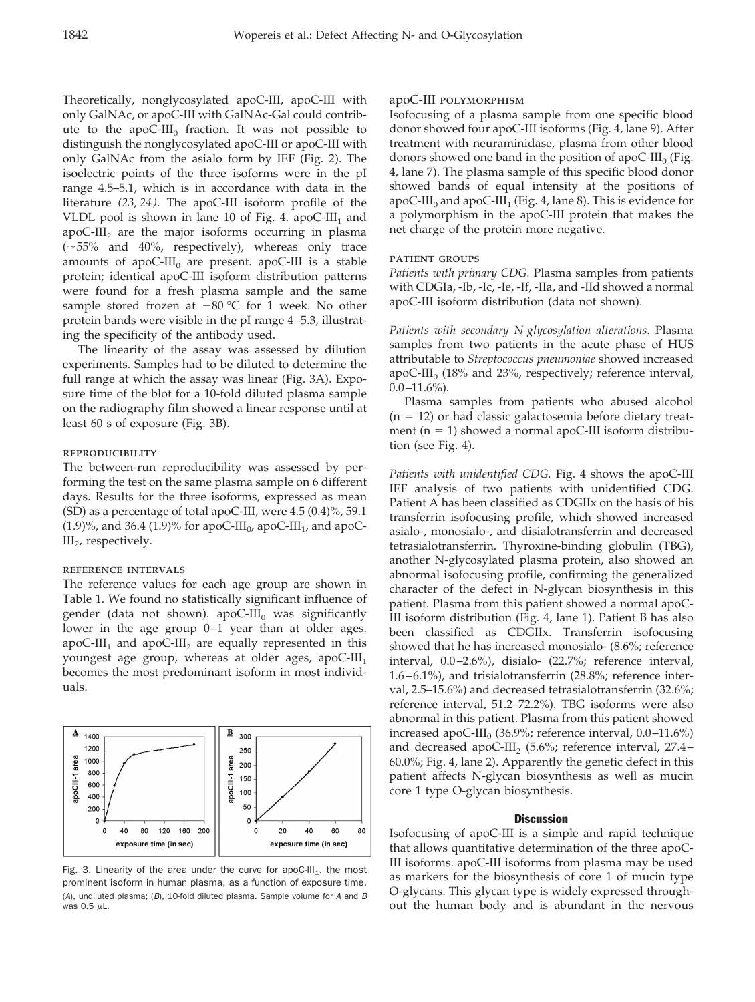Theoretically, nonglycosylated apoC-III, apoC-III with only GalNAc, or apoC-III with GalNAc-Gal could contribute to the apoC-III<sub>0</sub> fraction. It was not possible to distinguish the nonglycosylated apoC-III or apoC-III with only GalNAc from the asialo form by IEF (Fig. 2). The isoelectric points of the three isoforms were in the pI range 4.5–5.1, which is in accordance with data in the literature *(23*, *24)*. The apoC-III isoform profile of the VLDL pool is shown in lane 10 of Fig. 4. apoC-III $_1$  and apoC-III<sub>2</sub> are the major isoforms occurring in plasma  $(-55%$  and  $40%$ , respectively), whereas only trace amounts of apoC-III<sub>0</sub> are present. apoC-III is a stable protein; identical apoC-III isoform distribution patterns were found for a fresh plasma sample and the same sample stored frozen at  $-80$  °C for 1 week. No other protein bands were visible in the pI range 4–5.3, illustrating the specificity of the antibody used.

The linearity of the assay was assessed by dilution experiments. Samples had to be diluted to determine the full range at which the assay was linear (Fig. 3A). Exposure time of the blot for a 10-fold diluted plasma sample on the radiography film showed a linear response until at least 60 s of exposure (Fig. 3B).

## reproducibility

The between-run reproducibility was assessed by performing the test on the same plasma sample on 6 different days. Results for the three isoforms, expressed as mean (SD) as a percentage of total apoC-III, were 4.5 (0.4)%, 59.1  $(1.9)$ %, and 36.4 (1.9)% for apoC-III<sub>0</sub>, apoC-III<sub>1</sub>, and apoC- $III<sub>2</sub>$ , respectively.

## reference intervals

The reference values for each age group are shown in Table 1. We found no statistically significant influence of gender (data not shown). apoC-III $_0$  was significantly lower in the age group 0–1 year than at older ages. apoC-III<sub>1</sub> and apoC-III<sub>2</sub> are equally represented in this youngest age group, whereas at older ages, apoC-III<sub>1</sub> becomes the most predominant isoform in most individuals.



Fig. 3. Linearity of the area under the curve for apoC-III<sub>1</sub>, the most prominent isoform in human plasma, as a function of exposure time. (*A*), undiluted plasma; (*B*), 10-fold diluted plasma. Sample volume for *A* and *B* was  $0.5 \mu L$ .

## apoC-III polymorphism

Isofocusing of a plasma sample from one specific blood donor showed four apoC-III isoforms (Fig. 4, lane 9). After treatment with neuraminidase, plasma from other blood donors showed one band in the position of apoC-III<sub>0</sub> (Fig. 4, lane 7). The plasma sample of this specific blood donor showed bands of equal intensity at the positions of apoC-III<sub>0</sub> and apoC-III<sub>1</sub> (Fig. 4, lane 8). This is evidence for a polymorphism in the apoC-III protein that makes the net charge of the protein more negative.

#### patient groups

*Patients with primary CDG.* Plasma samples from patients with CDGIa, -Ib, -Ic, -Ie, -If, -IIa, and -IId showed a normal apoC-III isoform distribution (data not shown).

*Patients with secondary N-glycosylation alterations.* Plasma samples from two patients in the acute phase of HUS attributable to *Streptococcus pneumoniae* showed increased apoC-III<sub>0</sub> (18% and 23%, respectively; reference interval,  $0.0 - 11.6%$ ).

Plasma samples from patients who abused alcohol  $(n = 12)$  or had classic galactosemia before dietary treatment  $(n = 1)$  showed a normal apoC-III isoform distribution (see Fig. 4).

*Patients with unidentified CDG.* Fig. 4 shows the apoC-III IEF analysis of two patients with unidentified CDG. Patient A has been classified as CDGIIx on the basis of his transferrin isofocusing profile, which showed increased asialo-, monosialo-, and disialotransferrin and decreased tetrasialotransferrin. Thyroxine-binding globulin (TBG), another N-glycosylated plasma protein, also showed an abnormal isofocusing profile, confirming the generalized character of the defect in N-glycan biosynthesis in this patient. Plasma from this patient showed a normal apoC-III isoform distribution (Fig. 4, lane 1). Patient B has also been classified as CDGIIx. Transferrin isofocusing showed that he has increased monosialo- (8.6%; reference interval, 0.0–2.6%), disialo- (22.7%; reference interval, 1.6–6.1%), and trisialotransferrin (28.8%; reference interval, 2.5–15.6%) and decreased tetrasialotransferrin (32.6%; reference interval, 51.2–72.2%). TBG isoforms were also abnormal in this patient. Plasma from this patient showed increased apoC-III<sub>0</sub> (36.9%; reference interval,  $0.0-11.6%$ ) and decreased apoC-III<sub>2</sub> (5.6%; reference interval, 27.4– 60.0%; Fig. 4, lane 2). Apparently the genetic defect in this patient affects N-glycan biosynthesis as well as mucin core 1 type O-glycan biosynthesis.

#### **Discussion**

Isofocusing of apoC-III is a simple and rapid technique that allows quantitative determination of the three apoC-III isoforms. apoC-III isoforms from plasma may be used as markers for the biosynthesis of core 1 of mucin type O-glycans. This glycan type is widely expressed throughout the human body and is abundant in the nervous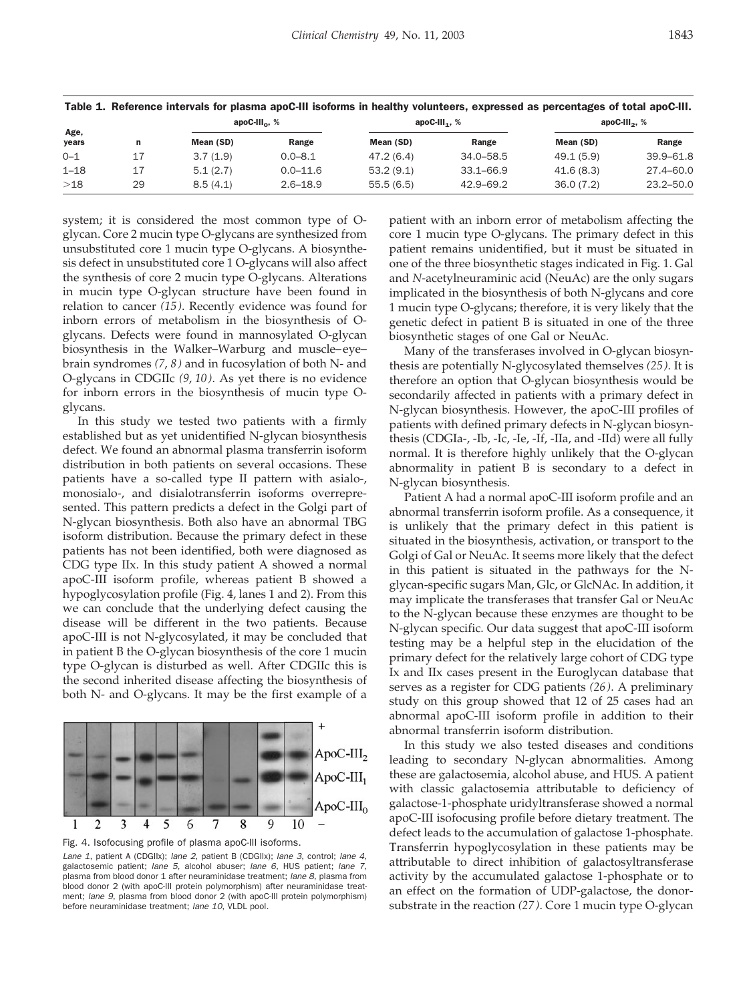| Table 1. Reference intervals for plasma apoC-III isoforms in healthy volunteers, expressed as percentages of total apoC-III. |    |                     |              |                   |               |                   |               |
|------------------------------------------------------------------------------------------------------------------------------|----|---------------------|--------------|-------------------|---------------|-------------------|---------------|
| Age,<br>years                                                                                                                | n  | apoC-III $_{0}$ , % |              | apoC-III $_1$ , % |               | apoC-III $_2$ , % |               |
|                                                                                                                              |    | Mean (SD)           | Range        | Mean (SD)         | Range         | Mean (SD)         | Range         |
| $0 - 1$                                                                                                                      | 17 | 3.7(1.9)            | $0.0 - 8.1$  | 47.2(6.4)         | $34.0 - 58.5$ | 49.1(5.9)         | 39.9-61.8     |
| $1 - 18$                                                                                                                     | 17 | 5.1(2.7)            | $0.0 - 11.6$ | 53.2(9.1)         | $33.1 - 66.9$ | 41.6(8.3)         | 27.4-60.0     |
| >18                                                                                                                          | 29 | 8.5(4.1)            | $2.6 - 18.9$ | 55.5(6.5)         | 42.9-69.2     | 36.0(7.2)         | $23.2 - 50.0$ |

system; it is considered the most common type of Oglycan. Core 2 mucin type O-glycans are synthesized from unsubstituted core 1 mucin type O-glycans. A biosynthesis defect in unsubstituted core 1 O-glycans will also affect the synthesis of core 2 mucin type O-glycans. Alterations in mucin type O-glycan structure have been found in relation to cancer *(15)*. Recently evidence was found for inborn errors of metabolism in the biosynthesis of Oglycans. Defects were found in mannosylated O-glycan biosynthesis in the Walker–Warburg and muscle–eye– brain syndromes *(7*, *8)* and in fucosylation of both N- and O-glycans in CDGIIc *(9*, *10)*. As yet there is no evidence for inborn errors in the biosynthesis of mucin type Oglycans.

In this study we tested two patients with a firmly established but as yet unidentified N-glycan biosynthesis defect. We found an abnormal plasma transferrin isoform distribution in both patients on several occasions. These patients have a so-called type II pattern with asialo-, monosialo-, and disialotransferrin isoforms overrepresented. This pattern predicts a defect in the Golgi part of N-glycan biosynthesis. Both also have an abnormal TBG isoform distribution. Because the primary defect in these patients has not been identified, both were diagnosed as CDG type IIx. In this study patient A showed a normal apoC-III isoform profile, whereas patient B showed a hypoglycosylation profile (Fig. 4, lanes 1 and 2). From this we can conclude that the underlying defect causing the disease will be different in the two patients. Because apoC-III is not N-glycosylated, it may be concluded that in patient B the O-glycan biosynthesis of the core 1 mucin type O-glycan is disturbed as well. After CDGIIc this is the second inherited disease affecting the biosynthesis of both N- and O-glycans. It may be the first example of a



Fig. 4. Isofocusing profile of plasma apoC-III isoforms.

*Lane 1*, patient A (CDGIIx); *lane 2*, patient B (CDGIIx); *lane 3*, control; *lane 4*, galactosemic patient; *lane 5*, alcohol abuser; *lane 6*, HUS patient; *lane 7*, plasma from blood donor 1 after neuraminidase treatment; *lane 8*, plasma from blood donor 2 (with apoC-III protein polymorphism) after neuraminidase treatment; *lane 9*, plasma from blood donor 2 (with apoC-III protein polymorphism) before neuraminidase treatment; *lane 10*, VLDL pool.

patient with an inborn error of metabolism affecting the core 1 mucin type O-glycans. The primary defect in this patient remains unidentified, but it must be situated in one of the three biosynthetic stages indicated in Fig. 1. Gal and *N*-acetylneuraminic acid (NeuAc) are the only sugars implicated in the biosynthesis of both N-glycans and core 1 mucin type O-glycans; therefore, it is very likely that the genetic defect in patient B is situated in one of the three biosynthetic stages of one Gal or NeuAc.

Many of the transferases involved in O-glycan biosynthesis are potentially N-glycosylated themselves *(25)*. It is therefore an option that O-glycan biosynthesis would be secondarily affected in patients with a primary defect in N-glycan biosynthesis. However, the apoC-III profiles of patients with defined primary defects in N-glycan biosynthesis (CDGIa-, -Ib, -Ic, -Ie, -If, -IIa, and -IId) were all fully normal. It is therefore highly unlikely that the O-glycan abnormality in patient B is secondary to a defect in N-glycan biosynthesis.

Patient A had a normal apoC-III isoform profile and an abnormal transferrin isoform profile. As a consequence, it is unlikely that the primary defect in this patient is situated in the biosynthesis, activation, or transport to the Golgi of Gal or NeuAc. It seems more likely that the defect in this patient is situated in the pathways for the Nglycan-specific sugars Man, Glc, or GlcNAc. In addition, it may implicate the transferases that transfer Gal or NeuAc to the N-glycan because these enzymes are thought to be N-glycan specific. Our data suggest that apoC-III isoform testing may be a helpful step in the elucidation of the primary defect for the relatively large cohort of CDG type Ix and IIx cases present in the Euroglycan database that serves as a register for CDG patients *(26)*. A preliminary study on this group showed that 12 of 25 cases had an abnormal apoC-III isoform profile in addition to their abnormal transferrin isoform distribution.

In this study we also tested diseases and conditions leading to secondary N-glycan abnormalities. Among these are galactosemia, alcohol abuse, and HUS. A patient with classic galactosemia attributable to deficiency of galactose-1-phosphate uridyltransferase showed a normal apoC-III isofocusing profile before dietary treatment. The defect leads to the accumulation of galactose 1-phosphate. Transferrin hypoglycosylation in these patients may be attributable to direct inhibition of galactosyltransferase activity by the accumulated galactose 1-phosphate or to an effect on the formation of UDP-galactose, the donorsubstrate in the reaction *(27)*. Core 1 mucin type O-glycan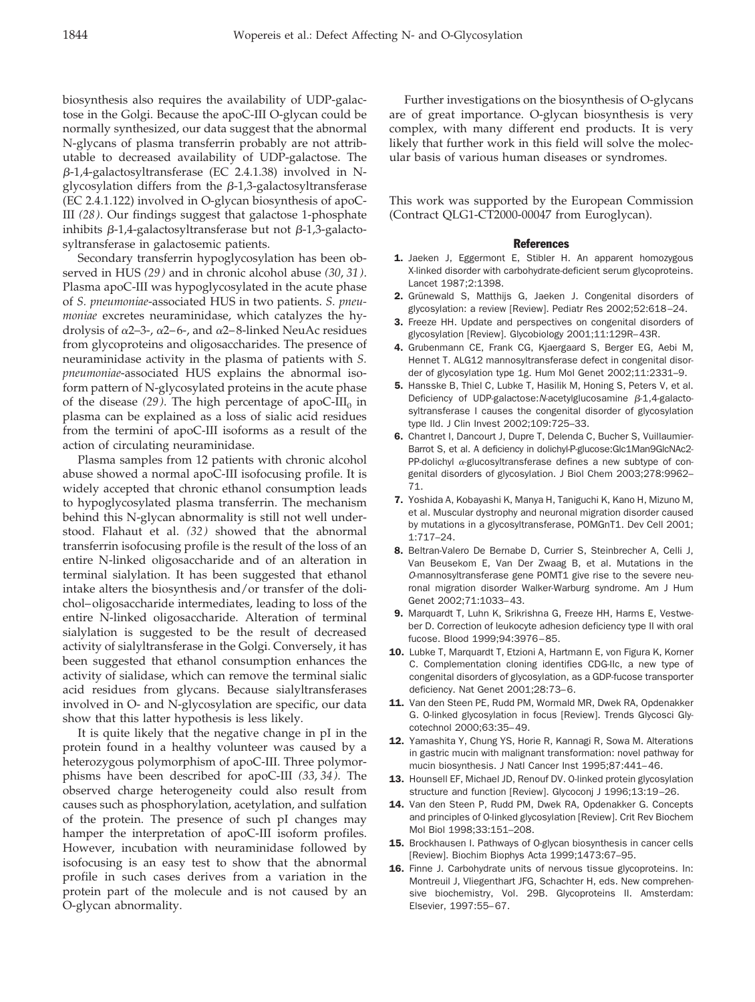biosynthesis also requires the availability of UDP-galactose in the Golgi. Because the apoC-III O-glycan could be normally synthesized, our data suggest that the abnormal N-glycans of plasma transferrin probably are not attributable to decreased availability of UDP-galactose. The --1,4-galactosyltransferase (EC 2.4.1.38) involved in Nglycosylation differs from the  $\beta$ -1,3-galactosyltransferase (EC 2.4.1.122) involved in O-glycan biosynthesis of apoC-III *(28)*. Our findings suggest that galactose 1-phosphate inhibits  $\beta$ -1,4-galactosyltransferase but not  $\beta$ -1,3-galactosyltransferase in galactosemic patients.

Secondary transferrin hypoglycosylation has been observed in HUS *(29)* and in chronic alcohol abuse *(30*, *31)*. Plasma apoC-III was hypoglycosylated in the acute phase of *S. pneumoniae*-associated HUS in two patients. *S. pneumoniae* excretes neuraminidase, which catalyzes the hydrolysis of  $\alpha$ 2–3-,  $\alpha$ 2–6-, and  $\alpha$ 2–8-linked NeuAc residues from glycoproteins and oligosaccharides. The presence of neuraminidase activity in the plasma of patients with *S. pneumoniae*-associated HUS explains the abnormal isoform pattern of N-glycosylated proteins in the acute phase of the disease  $(29)$ . The high percentage of apoC-III<sub>0</sub> in plasma can be explained as a loss of sialic acid residues from the termini of apoC-III isoforms as a result of the action of circulating neuraminidase.

Plasma samples from 12 patients with chronic alcohol abuse showed a normal apoC-III isofocusing profile. It is widely accepted that chronic ethanol consumption leads to hypoglycosylated plasma transferrin. The mechanism behind this N-glycan abnormality is still not well understood. Flahaut et al. *(32)* showed that the abnormal transferrin isofocusing profile is the result of the loss of an entire N-linked oligosaccharide and of an alteration in terminal sialylation. It has been suggested that ethanol intake alters the biosynthesis and/or transfer of the dolichol–oligosaccharide intermediates, leading to loss of the entire N-linked oligosaccharide. Alteration of terminal sialylation is suggested to be the result of decreased activity of sialyltransferase in the Golgi. Conversely, it has been suggested that ethanol consumption enhances the activity of sialidase, which can remove the terminal sialic acid residues from glycans. Because sialyltransferases involved in O- and N-glycosylation are specific, our data show that this latter hypothesis is less likely.

It is quite likely that the negative change in pI in the protein found in a healthy volunteer was caused by a heterozygous polymorphism of apoC-III. Three polymorphisms have been described for apoC-III *(33*, *34)*. The observed charge heterogeneity could also result from causes such as phosphorylation, acetylation, and sulfation of the protein. The presence of such pI changes may hamper the interpretation of apoC-III isoform profiles. However, incubation with neuraminidase followed by isofocusing is an easy test to show that the abnormal profile in such cases derives from a variation in the protein part of the molecule and is not caused by an O-glycan abnormality.

Further investigations on the biosynthesis of O-glycans are of great importance. O-glycan biosynthesis is very complex, with many different end products. It is very likely that further work in this field will solve the molecular basis of various human diseases or syndromes.

This work was supported by the European Commission (Contract QLG1-CT2000-00047 from Euroglycan).

#### References

- 1. Jaeken J, Eggermont E, Stibler H. An apparent homozygous X-linked disorder with carbohydrate-deficient serum glycoproteins. Lancet 1987;2:1398.
- 2. Grünewald S, Matthijs G, Jaeken J. Congenital disorders of glycosylation: a review [Review]. Pediatr Res 2002;52:618–24.
- 3. Freeze HH. Update and perspectives on congenital disorders of glycosylation [Review]. Glycobiology 2001;11:129R–43R.
- 4. Grubenmann CE, Frank CG, Kjaergaard S, Berger EG, Aebi M, Hennet T. ALG12 mannosyltransferase defect in congenital disorder of glycosylation type 1g. Hum Mol Genet 2002;11:2331–9.
- 5. Hansske B, Thiel C, Lubke T, Hasilik M, Honing S, Peters V, et al. Deficiency of UDP-galactose: N-acetylglucosamine β-1,4-galactosyltransferase I causes the congenital disorder of glycosylation type IId. J Clin Invest 2002;109:725–33.
- 6. Chantret I, Dancourt J, Dupre T, Delenda C, Bucher S, Vuillaumier-Barrot S, et al. A deficiency in dolichyl-P-glucose:Glc1Man9GlcNAc2- PP-dolichyl  $\alpha$ -glucosyltransferase defines a new subtype of congenital disorders of glycosylation. J Biol Chem 2003;278:9962– 71.
- 7. Yoshida A, Kobayashi K, Manya H, Taniguchi K, Kano H, Mizuno M, et al. Muscular dystrophy and neuronal migration disorder caused by mutations in a glycosyltransferase, POMGnT1. Dev Cell 2001; 1:717–24.
- 8. Beltran-Valero De Bernabe D, Currier S, Steinbrecher A, Celli J, Van Beusekom E, Van Der Zwaag B, et al. Mutations in the *O*-mannosyltransferase gene POMT1 give rise to the severe neuronal migration disorder Walker-Warburg syndrome. Am J Hum Genet 2002;71:1033–43.
- 9. Marquardt T, Luhn K, Srikrishna G, Freeze HH, Harms E, Vestweber D. Correction of leukocyte adhesion deficiency type II with oral fucose. Blood 1999;94:3976–85.
- 10. Lubke T, Marquardt T, Etzioni A, Hartmann E, von Figura K, Korner C. Complementation cloning identifies CDG-IIc, a new type of congenital disorders of glycosylation, as a GDP-fucose transporter deficiency. Nat Genet 2001;28:73–6.
- 11. Van den Steen PE, Rudd PM, Wormald MR, Dwek RA, Opdenakker G. O-linked glycosylation in focus [Review]. Trends Glycosci Glycotechnol 2000;63:35–49.
- 12. Yamashita Y, Chung YS, Horie R, Kannagi R, Sowa M. Alterations in gastric mucin with malignant transformation: novel pathway for mucin biosynthesis. J Natl Cancer Inst 1995;87:441–46.
- 13. Hounsell EF, Michael JD, Renouf DV. O-linked protein glycosylation structure and function [Review]. Glycoconj J 1996;13:19–26.
- 14. Van den Steen P, Rudd PM, Dwek RA, Opdenakker G. Concepts and principles of O-linked glycosylation [Review]. Crit Rev Biochem Mol Biol 1998;33:151–208.
- 15. Brockhausen I. Pathways of O-glycan biosynthesis in cancer cells [Review]. Biochim Biophys Acta 1999;1473:67–95.
- 16. Finne J. Carbohydrate units of nervous tissue glycoproteins. In: Montreuil J, Vliegenthart JFG, Schachter H, eds. New comprehensive biochemistry, Vol. 29B. Glycoproteins II. Amsterdam: Elsevier, 1997:55–67.